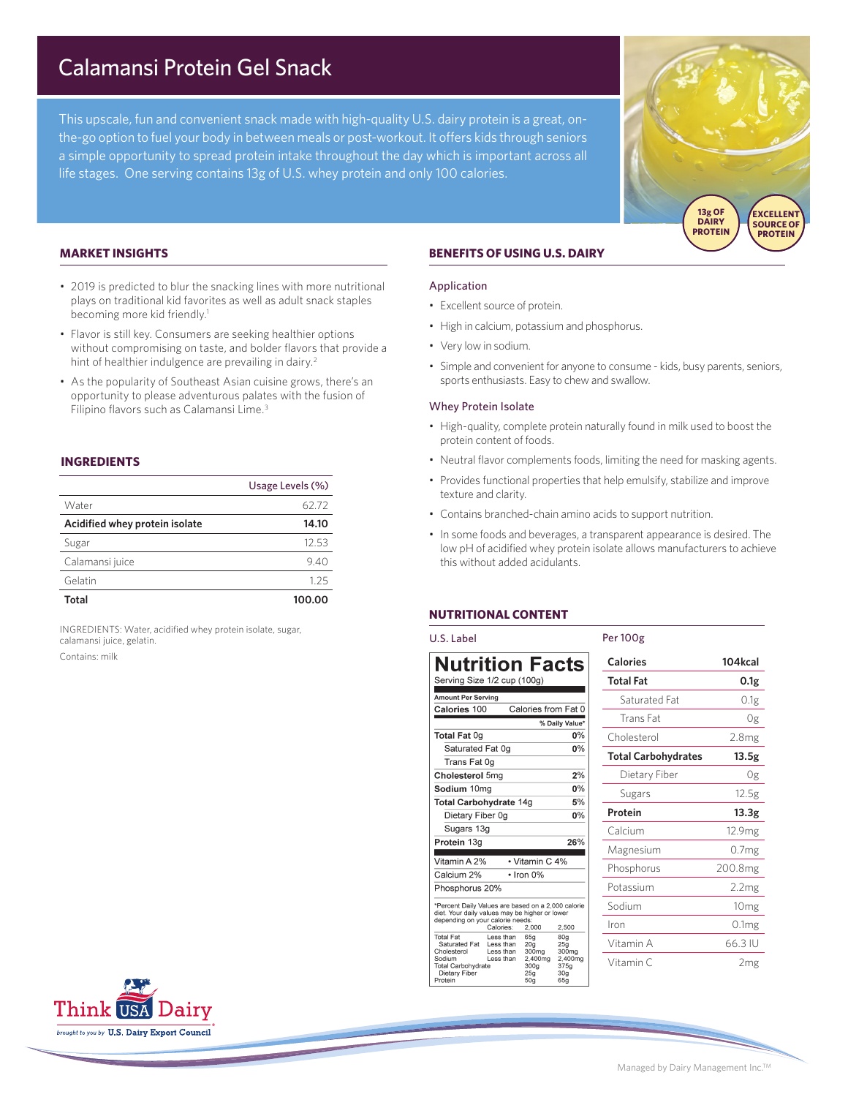# Calamansi Protein Gel Snack

This upscale, fun and convenient snack made with high-quality U.S. dairy protein is a great, onthe-go option to fuel your body in between meals or post-workout. It offers kids through seniors a simple opportunity to spread protein intake throughout the day which is important across all life stages. One serving contains 13g of U.S. whey protein and only 100 calories.



## **MARKET INSIGHTS**

- 2019 is predicted to blur the snacking lines with more nutritional plays on traditional kid favorites as well as adult snack staples becoming more kid friendly.<sup>1</sup>
- Flavor is still key. Consumers are seeking healthier options without compromising on taste, and bolder flavors that provide a hint of healthier indulgence are prevailing in dairy.<sup>2</sup>
- As the popularity of Southeast Asian cuisine grows, there's an opportunity to please adventurous palates with the fusion of Filipino flavors such as Calamansi Lime.<sup>3</sup>

# **INGREDIENTS**

|                                | Usage Levels (%) |
|--------------------------------|------------------|
| Water                          | 62.72            |
| Acidified whey protein isolate | 14.10            |
| Sugar                          | 12.53            |
| Calamansi juice                | 9.40             |
| Gelatin                        | 125              |
| Total                          | 100.00           |

INGREDIENTS: Water, acidified whey protein isolate, sugar, calamansi juice, gelatin. Contains: milk

# **BENEFITS OF USING U.S. DAIRY**

### Application

- Excellent source of protein.
- High in calcium, potassium and phosphorus.
- Very low in sodium.
- Simple and convenient for anyone to consume kids, busy parents, seniors, sports enthusiasts. Easy to chew and swallow.

#### Whey Protein Isolate

- High-quality, complete protein naturally found in milk used to boost the protein content of foods.
- Neutral flavor complements foods, limiting the need for masking agents.
- Provides functional properties that help emulsify, stabilize and improve texture and clarity.
- Contains branched-chain amino acids to support nutrition.
- In some foods and beverages, a transparent appearance is desired. The low pH of acidified whey protein isolate allows manufacturers to achieve this without added acidulants.

# **NUTRITIONAL CONTENT**

| U.S. Label                                                                                                                                                                                                                                                                                                                                                                                                                                                                                                                                 | Per 100g                   |                    |
|--------------------------------------------------------------------------------------------------------------------------------------------------------------------------------------------------------------------------------------------------------------------------------------------------------------------------------------------------------------------------------------------------------------------------------------------------------------------------------------------------------------------------------------------|----------------------------|--------------------|
| <b>Nutrition Facts</b>                                                                                                                                                                                                                                                                                                                                                                                                                                                                                                                     | <b>Calories</b>            | 104kcal            |
| Serving Size 1/2 cup (100g)                                                                                                                                                                                                                                                                                                                                                                                                                                                                                                                | <b>Total Fat</b>           | 0.1 <sub>g</sub>   |
| <b>Amount Per Serving</b>                                                                                                                                                                                                                                                                                                                                                                                                                                                                                                                  | Saturated Fat              | 0.1 <sub>g</sub>   |
| Calories from Fat 0<br>Calories 100<br>% Daily Value*                                                                                                                                                                                                                                                                                                                                                                                                                                                                                      | Trans Fat                  | 0g                 |
| Total Fat 0g<br>$0\%$                                                                                                                                                                                                                                                                                                                                                                                                                                                                                                                      | Cholesterol                | 2.8 <sub>mg</sub>  |
| $0\%$<br>Saturated Fat 0q                                                                                                                                                                                                                                                                                                                                                                                                                                                                                                                  | <b>Total Carbohydrates</b> | 13.5g              |
| Trans Fat 0g<br>2%<br>Cholesterol 5mg                                                                                                                                                                                                                                                                                                                                                                                                                                                                                                      | Dietary Fiber              | 0g                 |
| $0\%$<br>Sodium 10mg                                                                                                                                                                                                                                                                                                                                                                                                                                                                                                                       |                            |                    |
| 5%<br><b>Total Carbohydrate 14g</b>                                                                                                                                                                                                                                                                                                                                                                                                                                                                                                        | Sugars                     | 12.5g              |
| 0%<br>Dietary Fiber 0g                                                                                                                                                                                                                                                                                                                                                                                                                                                                                                                     | Protein                    | 13.3 <sub>g</sub>  |
| Sugars 13g                                                                                                                                                                                                                                                                                                                                                                                                                                                                                                                                 | Calcium                    | 12.9 <sub>mg</sub> |
| 26%<br>Protein 13g                                                                                                                                                                                                                                                                                                                                                                                                                                                                                                                         | Magnesium                  | 0.7 <sub>mg</sub>  |
| • Vitamin C 4%<br>Vitamin A 2%<br>Calcium 2%<br>$\cdot$ Iron 0%                                                                                                                                                                                                                                                                                                                                                                                                                                                                            | Phosphorus                 | 200.8mg            |
| Phosphorus 20%                                                                                                                                                                                                                                                                                                                                                                                                                                                                                                                             | Potassium                  | 2.2mg              |
| *Percent Daily Values are based on a 2,000 calorie<br>diet. Your daily values may be higher or lower<br>depending on your calorie needs:<br>2,500<br>Calories:<br>2.000<br><b>Total Fat</b><br>Less than<br>65a<br>80 <sub>g</sub><br>Saturated Fat<br>Less than<br>20 <sub>q</sub><br>25 <sub>g</sub><br>Cholesterol<br>Less than<br>300mg<br>300mg<br>Sodium<br>Less than<br>2.400mg<br>2.400mg<br><b>Total Carbohydrate</b><br>300 <sub>q</sub><br>375q<br>Dietary Fiber<br>25 <sub>q</sub><br>30 <sub>q</sub><br>Protein<br>50a<br>65g | Sodium                     | 10 <sub>mg</sub>   |
|                                                                                                                                                                                                                                                                                                                                                                                                                                                                                                                                            | Iron                       | 0.1 <sub>mg</sub>  |
|                                                                                                                                                                                                                                                                                                                                                                                                                                                                                                                                            | Vitamin A                  | 66.3 IU            |
|                                                                                                                                                                                                                                                                                                                                                                                                                                                                                                                                            | Vitamin C                  | 2 <sub>mg</sub>    |